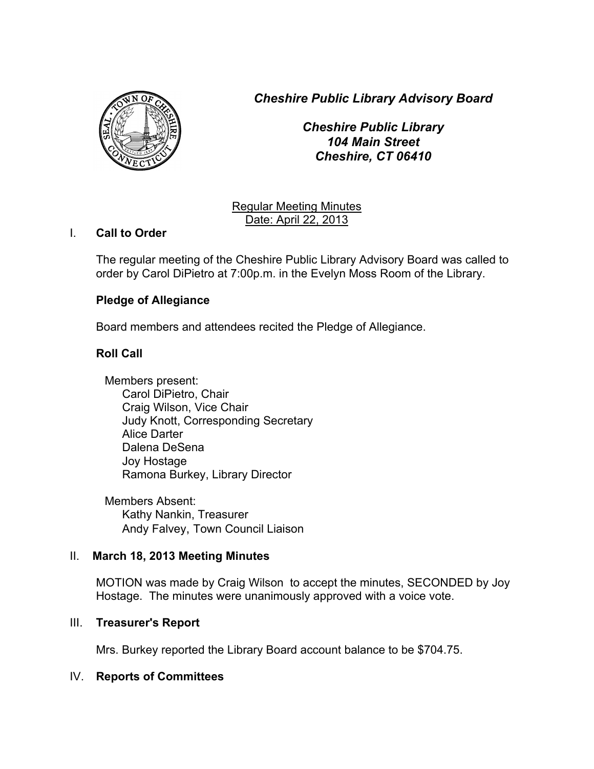*Cheshire Public Library Advisory Board*



*Cheshire Public Library 104 Main Street Cheshire, CT 06410*

Regular Meeting Minutes Date: April 22, 2013

### I. **Call to Order**

The regular meeting of the Cheshire Public Library Advisory Board was called to order by Carol DiPietro at 7:00p.m. in the Evelyn Moss Room of the Library.

# **Pledge of Allegiance**

Board members and attendees recited the Pledge of Allegiance.

### **Roll Call**

Members present: Carol DiPietro, Chair Craig Wilson, Vice Chair Judy Knott, Corresponding Secretary Alice Darter Dalena DeSena Joy Hostage Ramona Burkey, Library Director

Members Absent: Kathy Nankin, Treasurer Andy Falvey, Town Council Liaison

### II. **March 18, 2013 Meeting Minutes**

MOTION was made by Craig Wilson to accept the minutes, SECONDED by Joy Hostage. The minutes were unanimously approved with a voice vote.

### III. **Treasurer's Report**

Mrs. Burkey reported the Library Board account balance to be \$704.75.

### IV. **Reports of Committees**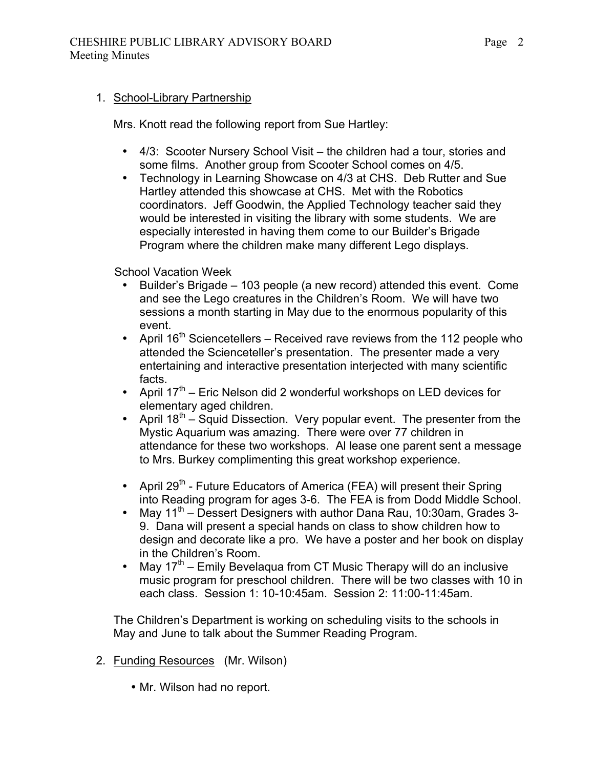#### 1. School-Library Partnership

Mrs. Knott read the following report from Sue Hartley:

- 4/3: Scooter Nursery School Visit the children had a tour, stories and some films. Another group from Scooter School comes on 4/5.
- Technology in Learning Showcase on 4/3 at CHS. Deb Rutter and Sue Hartley attended this showcase at CHS. Met with the Robotics coordinators. Jeff Goodwin, the Applied Technology teacher said they would be interested in visiting the library with some students. We are especially interested in having them come to our Builder's Brigade Program where the children make many different Lego displays.

School Vacation Week

- Builder's Brigade 103 people (a new record) attended this event. Come and see the Lego creatures in the Children's Room. We will have two sessions a month starting in May due to the enormous popularity of this event.
- April  $16^{th}$  Sciencetellers Received rave reviews from the 112 people who attended the Scienceteller's presentation. The presenter made a very entertaining and interactive presentation interjected with many scientific facts.
- April  $17<sup>th</sup>$  Eric Nelson did 2 wonderful workshops on LED devices for elementary aged children.
- April  $18^{th}$  Squid Dissection. Very popular event. The presenter from the Mystic Aquarium was amazing. There were over 77 children in attendance for these two workshops. Al lease one parent sent a message to Mrs. Burkey complimenting this great workshop experience.
- April  $29^{th}$  Future Educators of America (FEA) will present their Spring into Reading program for ages 3-6. The FEA is from Dodd Middle School.
- May  $11^{th}$  Dessert Designers with author Dana Rau, 10:30am, Grades 3-9. Dana will present a special hands on class to show children how to design and decorate like a pro. We have a poster and her book on display in the Children's Room.
- May  $17<sup>th</sup>$  Emily Bevelaqua from CT Music Therapy will do an inclusive music program for preschool children. There will be two classes with 10 in each class. Session 1: 10-10:45am. Session 2: 11:00-11:45am.

The Children's Department is working on scheduling visits to the schools in May and June to talk about the Summer Reading Program.

- 2. Funding Resources (Mr. Wilson)
	- Mr. Wilson had no report.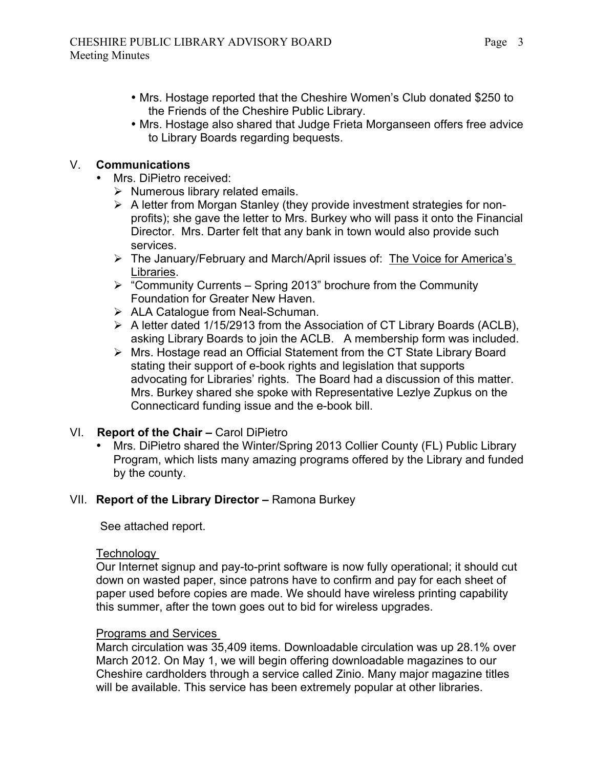- Mrs. Hostage reported that the Cheshire Women's Club donated \$250 to the Friends of the Cheshire Public Library.
- Mrs. Hostage also shared that Judge Frieta Morganseen offers free advice to Library Boards regarding bequests.

# V. **Communications**

- Mrs. DiPietro received:
	- $\triangleright$  Numerous library related emails.
	- $\triangleright$  A letter from Morgan Stanley (they provide investment strategies for nonprofits); she gave the letter to Mrs. Burkey who will pass it onto the Financial Director. Mrs. Darter felt that any bank in town would also provide such services.
	- ▶ The January/February and March/April issues of: The Voice for America's Libraries.
	- $\triangleright$  "Community Currents Spring 2013" brochure from the Community Foundation for Greater New Haven.
	- > ALA Catalogue from Neal-Schuman.
	- A letter dated 1/15/2913 from the Association of CT Library Boards (ACLB), asking Library Boards to join the ACLB. A membership form was included.
	- Mrs. Hostage read an Official Statement from the CT State Library Board stating their support of e-book rights and legislation that supports advocating for Libraries' rights. The Board had a discussion of this matter. Mrs. Burkey shared she spoke with Representative Lezlye Zupkus on the Connecticard funding issue and the e-book bill.

# VI. **Report of the Chair –** Carol DiPietro

• Mrs. DiPietro shared the Winter/Spring 2013 Collier County (FL) Public Library Program, which lists many amazing programs offered by the Library and funded by the county.

# VII. **Report of the Library Director –** Ramona Burkey

See attached report.

### **Technology**

Our Internet signup and pay-to-print software is now fully operational; it should cut down on wasted paper, since patrons have to confirm and pay for each sheet of paper used before copies are made. We should have wireless printing capability this summer, after the town goes out to bid for wireless upgrades.

### Programs and Services

March circulation was 35,409 items. Downloadable circulation was up 28.1% over March 2012. On May 1, we will begin offering downloadable magazines to our Cheshire cardholders through a service called Zinio. Many major magazine titles will be available. This service has been extremely popular at other libraries.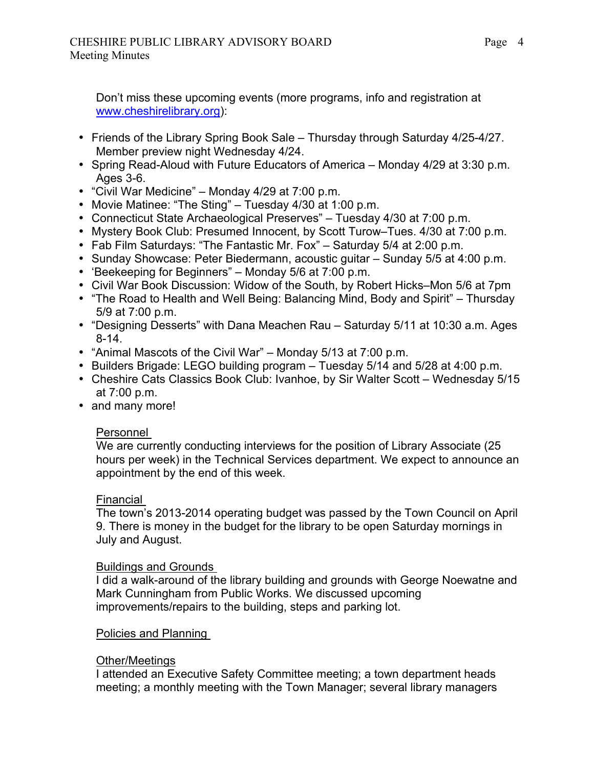Don't miss these upcoming events (more programs, info and registration at www.cheshirelibrary.org):

- Friends of the Library Spring Book Sale Thursday through Saturday 4/25-4/27. Member preview night Wednesday 4/24.
- Spring Read-Aloud with Future Educators of America Monday 4/29 at 3:30 p.m. Ages 3-6.
- "Civil War Medicine" Monday 4/29 at 7:00 p.m.
- Movie Matinee: "The Sting" Tuesday 4/30 at 1:00 p.m.
- Connecticut State Archaeological Preserves" Tuesday 4/30 at 7:00 p.m.
- Mystery Book Club: Presumed Innocent, by Scott Turow–Tues. 4/30 at 7:00 p.m.
- Fab Film Saturdays: "The Fantastic Mr. Fox" Saturday 5/4 at 2:00 p.m.
- Sunday Showcase: Peter Biedermann, acoustic guitar Sunday 5/5 at 4:00 p.m.
- 'Beekeeping for Beginners" Monday 5/6 at 7:00 p.m.
- Civil War Book Discussion: Widow of the South, by Robert Hicks–Mon 5/6 at 7pm
- "The Road to Health and Well Being: Balancing Mind, Body and Spirit" Thursday 5/9 at 7:00 p.m.
- "Designing Desserts" with Dana Meachen Rau Saturday 5/11 at 10:30 a.m. Ages 8-14.
- "Animal Mascots of the Civil War" Monday 5/13 at 7:00 p.m.
- Builders Brigade: LEGO building program Tuesday 5/14 and 5/28 at 4:00 p.m.
- Cheshire Cats Classics Book Club: Ivanhoe, by Sir Walter Scott Wednesday 5/15 at 7:00 p.m.
- and many more!

### Personnel

We are currently conducting interviews for the position of Library Associate (25 hours per week) in the Technical Services department. We expect to announce an appointment by the end of this week.

### Financial

The town's 2013-2014 operating budget was passed by the Town Council on April 9. There is money in the budget for the library to be open Saturday mornings in July and August.

### Buildings and Grounds

I did a walk-around of the library building and grounds with George Noewatne and Mark Cunningham from Public Works. We discussed upcoming improvements/repairs to the building, steps and parking lot.

### Policies and Planning

### Other/Meetings

I attended an Executive Safety Committee meeting; a town department heads meeting; a monthly meeting with the Town Manager; several library managers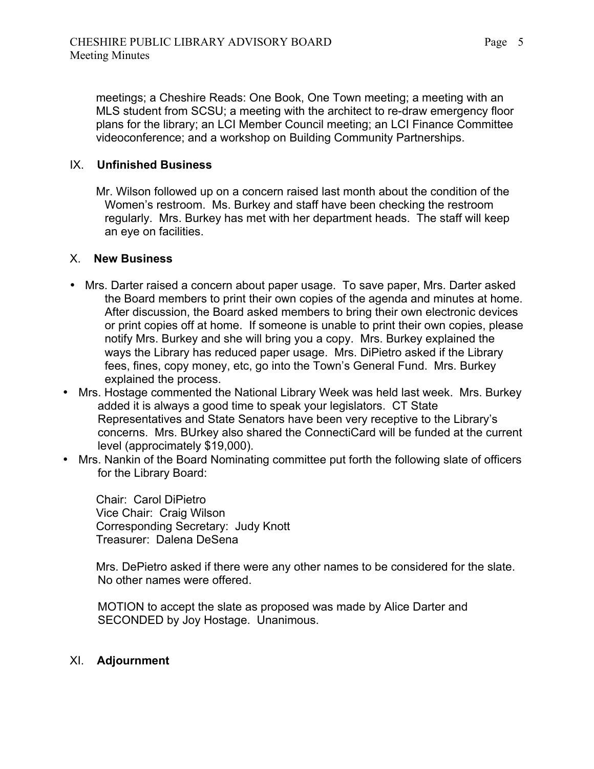meetings; a Cheshire Reads: One Book, One Town meeting; a meeting with an MLS student from SCSU; a meeting with the architect to re-draw emergency floor plans for the library; an LCI Member Council meeting; an LCI Finance Committee videoconference; and a workshop on Building Community Partnerships.

### IX. **Unfinished Business**

Mr. Wilson followed up on a concern raised last month about the condition of the Women's restroom. Ms. Burkey and staff have been checking the restroom regularly. Mrs. Burkey has met with her department heads. The staff will keep an eye on facilities.

### X. **New Business**

- Mrs. Darter raised a concern about paper usage. To save paper, Mrs. Darter asked the Board members to print their own copies of the agenda and minutes at home. After discussion, the Board asked members to bring their own electronic devices or print copies off at home. If someone is unable to print their own copies, please notify Mrs. Burkey and she will bring you a copy. Mrs. Burkey explained the ways the Library has reduced paper usage. Mrs. DiPietro asked if the Library fees, fines, copy money, etc, go into the Town's General Fund. Mrs. Burkey explained the process.
- Mrs. Hostage commented the National Library Week was held last week. Mrs. Burkey added it is always a good time to speak your legislators. CT State Representatives and State Senators have been very receptive to the Library's concerns. Mrs. BUrkey also shared the ConnectiCard will be funded at the current level (approcimately \$19,000).
- Mrs. Nankin of the Board Nominating committee put forth the following slate of officers for the Library Board:

Chair: Carol DiPietro Vice Chair: Craig Wilson Corresponding Secretary: Judy Knott Treasurer: Dalena DeSena

Mrs. DePietro asked if there were any other names to be considered for the slate. No other names were offered.

 MOTION to accept the slate as proposed was made by Alice Darter and SECONDED by Joy Hostage. Unanimous.

### XI. **Adjournment**